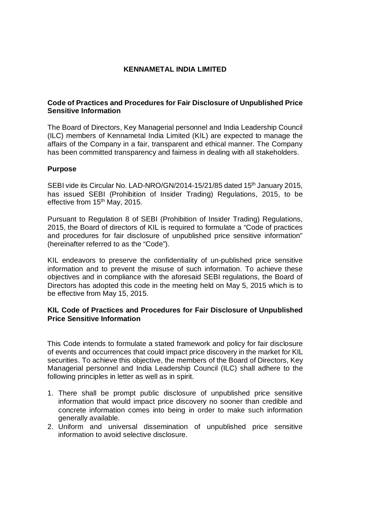# **KENNAMETAL INDIA LIMITED**

## **Code of Practices and Procedures for Fair Disclosure of Unpublished Price Sensitive Information**

The Board of Directors, Key Managerial personnel and India Leadership Council (ILC) members of Kennametal India Limited (KIL) are expected to manage the affairs of the Company in a fair, transparent and ethical manner. The Company has been committed transparency and fairness in dealing with all stakeholders.

## **Purpose**

SEBI vide its Circular No. LAD-NRO/GN/2014-15/21/85 dated 15<sup>th</sup> January 2015. has issued SEBI (Prohibition of Insider Trading) Regulations, 2015, to be effective from 15<sup>th</sup> May, 2015.

Pursuant to Regulation 8 of SEBI (Prohibition of Insider Trading) Regulations, 2015, the Board of directors of KIL is required to formulate a "Code of practices and procedures for fair disclosure of unpublished price sensitive information" (hereinafter referred to as the "Code").

KIL endeavors to preserve the confidentiality of un-published price sensitive information and to prevent the misuse of such information. To achieve these objectives and in compliance with the aforesaid SEBI regulations, the Board of Directors has adopted this code in the meeting held on May 5, 2015 which is to be effective from May 15, 2015.

## **KIL Code of Practices and Procedures for Fair Disclosure of Unpublished Price Sensitive Information**

 This Code intends to formulate a stated framework and policy for fair disclosure of events and occurrences that could impact price discovery in the market for KIL securities. To achieve this objective, the members of the Board of Directors, Key Managerial personnel and India Leadership Council (ILC) shall adhere to the following principles in letter as well as in spirit.

- 1. There shall be prompt public disclosure of unpublished price sensitive information that would impact price discovery no sooner than credible and concrete information comes into being in order to make such information generally available.
- 2. Uniform and universal dissemination of unpublished price sensitive information to avoid selective disclosure.